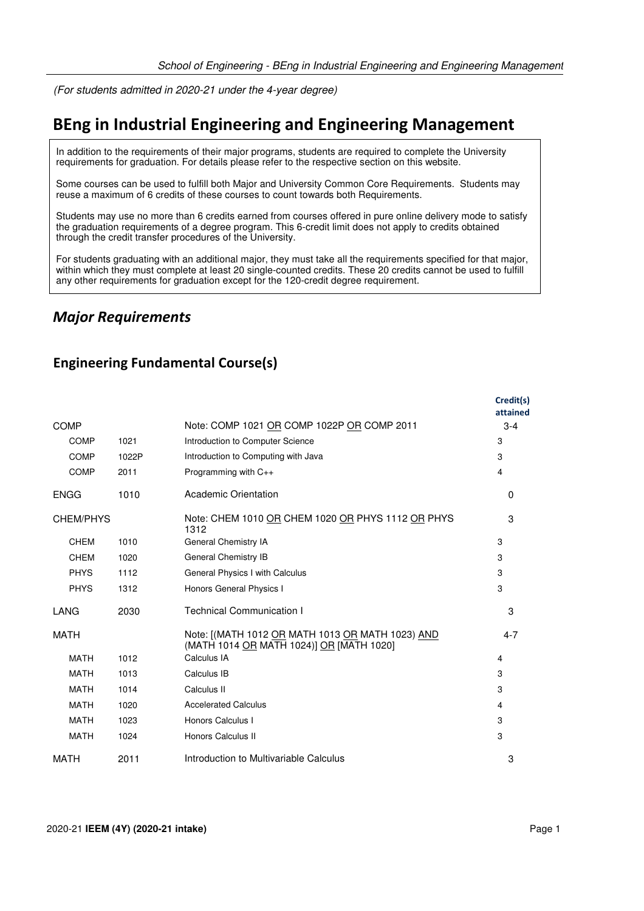(For students admitted in 2020-21 under the 4-year degree)

# **BEng in Industrial Engineering and Engineering Management**

In addition to the requirements of their major programs, students are required to complete the University requirements for graduation. For details please refer to the respective section on this website.

Some courses can be used to fulfill both Major and University Common Core Requirements. Students may reuse a maximum of 6 credits of these courses to count towards both Requirements.

Students may use no more than 6 credits earned from courses offered in pure online delivery mode to satisfy the graduation requirements of a degree program. This 6-credit limit does not apply to credits obtained through the credit transfer procedures of the University.

For students graduating with an additional major, they must take all the requirements specified for that major, within which they must complete at least 20 single-counted credits. These 20 credits cannot be used to fulfill any other requirements for graduation except for the 120-credit degree requirement.

## *Major Requirements*

## **Engineering Fundamental Course(s)**

|                  |       |                                                                                              | Credit(s)<br>attained |
|------------------|-------|----------------------------------------------------------------------------------------------|-----------------------|
| <b>COMP</b>      |       | Note: COMP 1021 OR COMP 1022P OR COMP 2011                                                   | $3 - 4$               |
| <b>COMP</b>      | 1021  | Introduction to Computer Science                                                             | 3                     |
| <b>COMP</b>      | 1022P | Introduction to Computing with Java                                                          | 3                     |
| <b>COMP</b>      | 2011  | Programming with C++                                                                         | $\overline{4}$        |
| <b>ENGG</b>      | 1010  | Academic Orientation                                                                         | $\Omega$              |
| <b>CHEM/PHYS</b> |       | Note: CHEM 1010 OR CHEM 1020 OR PHYS 1112 OR PHYS<br>1312                                    | 3                     |
| <b>CHEM</b>      | 1010  | General Chemistry IA                                                                         | 3                     |
| <b>CHEM</b>      | 1020  | General Chemistry IB                                                                         | 3                     |
| <b>PHYS</b>      | 1112  | General Physics I with Calculus                                                              | 3                     |
| <b>PHYS</b>      | 1312  | Honors General Physics I                                                                     | 3                     |
| <b>LANG</b>      | 2030  | <b>Technical Communication I</b>                                                             | 3                     |
| <b>MATH</b>      |       | Note: [(MATH 1012 OR MATH 1013 OR MATH 1023) AND<br>(MATH 1014 OR MATH 1024)] OR [MATH 1020] | $4 - 7$               |
| <b>MATH</b>      | 1012  | Calculus IA                                                                                  | 4                     |
| <b>MATH</b>      | 1013  | Calculus IB                                                                                  | 3                     |
| <b>MATH</b>      | 1014  | Calculus II                                                                                  | 3                     |
| <b>MATH</b>      | 1020  | <b>Accelerated Calculus</b>                                                                  | 4                     |
| <b>MATH</b>      | 1023  | Honors Calculus I                                                                            | 3                     |
| <b>MATH</b>      | 1024  | Honors Calculus II                                                                           | 3                     |
| <b>MATH</b>      | 2011  | Introduction to Multivariable Calculus                                                       | 3                     |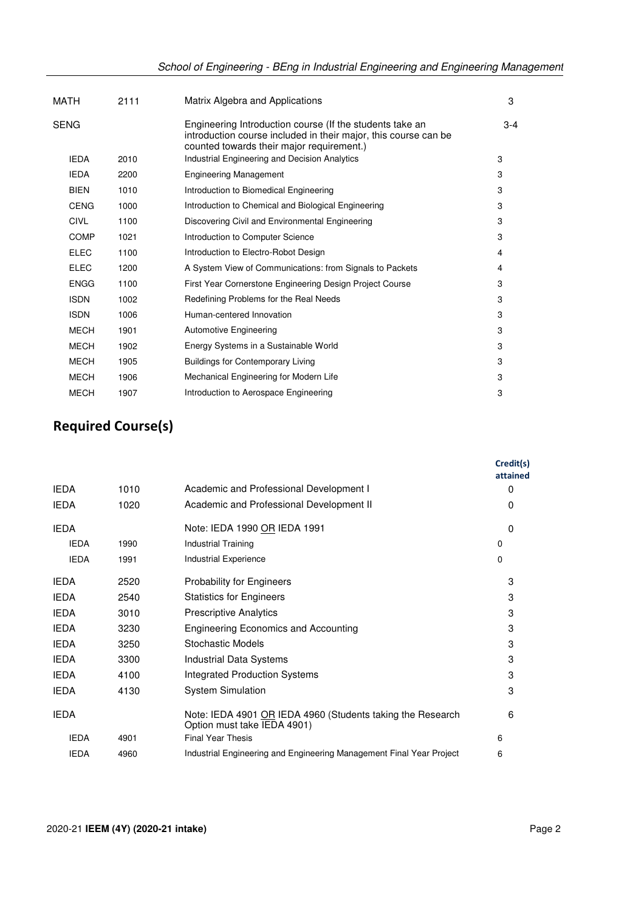| MATH        | 2111 | Matrix Algebra and Applications                                                                                                                                          | 3     |
|-------------|------|--------------------------------------------------------------------------------------------------------------------------------------------------------------------------|-------|
| SENG        |      | Engineering Introduction course (If the students take an<br>introduction course included in their major, this course can be<br>counted towards their major requirement.) | $3-4$ |
| <b>IEDA</b> | 2010 | Industrial Engineering and Decision Analytics                                                                                                                            | 3     |
| <b>IEDA</b> | 2200 | <b>Engineering Management</b>                                                                                                                                            | 3     |
| <b>BIEN</b> | 1010 | Introduction to Biomedical Engineering                                                                                                                                   | 3     |
| <b>CENG</b> | 1000 | Introduction to Chemical and Biological Engineering                                                                                                                      | 3     |
| <b>CIVL</b> | 1100 | Discovering Civil and Environmental Engineering                                                                                                                          | 3     |
| <b>COMP</b> | 1021 | Introduction to Computer Science                                                                                                                                         | 3     |
| <b>ELEC</b> | 1100 | Introduction to Electro-Robot Design                                                                                                                                     | 4     |
| <b>ELEC</b> | 1200 | A System View of Communications: from Signals to Packets                                                                                                                 | 4     |
| ENGG        | 1100 | First Year Cornerstone Engineering Design Project Course                                                                                                                 | 3     |
| <b>ISDN</b> | 1002 | Redefining Problems for the Real Needs                                                                                                                                   | 3     |
| <b>ISDN</b> | 1006 | Human-centered Innovation                                                                                                                                                | 3     |
| <b>MECH</b> | 1901 | <b>Automotive Engineering</b>                                                                                                                                            | 3     |
| <b>MECH</b> | 1902 | Energy Systems in a Sustainable World                                                                                                                                    | 3     |
| <b>MECH</b> | 1905 | <b>Buildings for Contemporary Living</b>                                                                                                                                 | 3     |
| <b>MECH</b> | 1906 | Mechanical Engineering for Modern Life                                                                                                                                   | 3     |
| <b>MECH</b> | 1907 | Introduction to Aerospace Engineering                                                                                                                                    | 3     |
|             |      |                                                                                                                                                                          |       |

# **Required Course(s)**

|             |      |                                                                                           | Credit(s)<br>attained |
|-------------|------|-------------------------------------------------------------------------------------------|-----------------------|
| <b>IEDA</b> | 1010 | Academic and Professional Development I                                                   | $\Omega$              |
| <b>IEDA</b> | 1020 | Academic and Professional Development II                                                  | $\Omega$              |
| <b>IEDA</b> |      | Note: IEDA 1990 OR IEDA 1991                                                              | $\Omega$              |
| <b>IEDA</b> | 1990 | Industrial Training                                                                       | 0                     |
| <b>IEDA</b> | 1991 | <b>Industrial Experience</b>                                                              | 0                     |
| <b>IEDA</b> | 2520 | Probability for Engineers                                                                 | 3                     |
| <b>IEDA</b> | 2540 | <b>Statistics for Engineers</b>                                                           | 3                     |
| <b>IEDA</b> | 3010 | <b>Prescriptive Analytics</b>                                                             | 3                     |
| <b>IEDA</b> | 3230 | <b>Engineering Economics and Accounting</b>                                               | 3                     |
| <b>IEDA</b> | 3250 | <b>Stochastic Models</b>                                                                  | 3                     |
| <b>IEDA</b> | 3300 | Industrial Data Systems                                                                   | 3                     |
| <b>IEDA</b> | 4100 | Integrated Production Systems                                                             | 3                     |
| <b>IEDA</b> | 4130 | <b>System Simulation</b>                                                                  | 3                     |
| <b>IEDA</b> |      | Note: IEDA 4901 OR IEDA 4960 (Students taking the Research<br>Option must take IEDA 4901) | 6                     |
| <b>IEDA</b> | 4901 | <b>Final Year Thesis</b>                                                                  | 6                     |
| <b>IEDA</b> | 4960 | Industrial Engineering and Engineering Management Final Year Project                      | 6                     |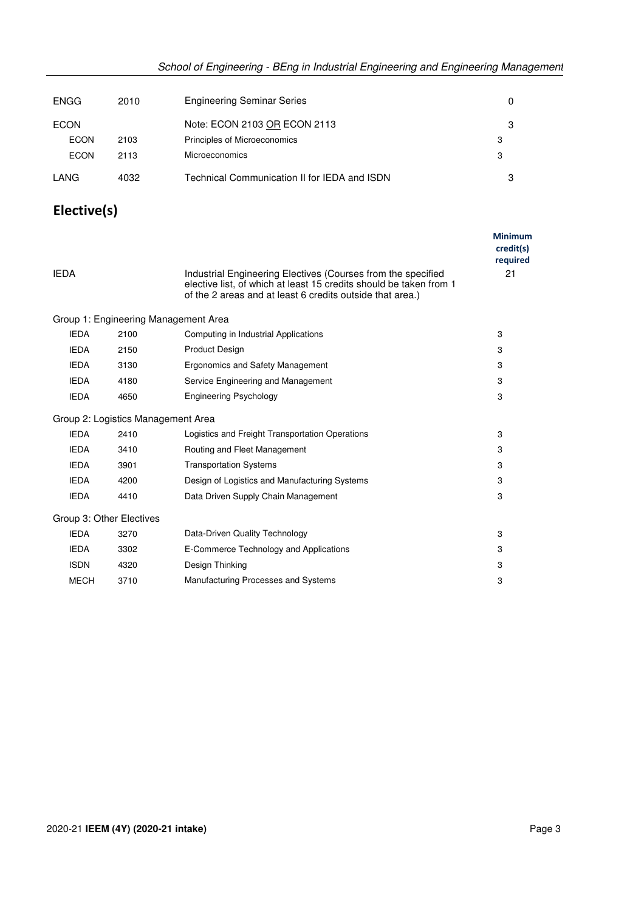| <b>ENGG</b> | 2010 | <b>Engineering Seminar Series</b>            |   |
|-------------|------|----------------------------------------------|---|
| ECON        |      | Note: ECON 2103 OR ECON 2113                 | З |
| ECON        | 2103 | Principles of Microeconomics                 | 3 |
| <b>ECON</b> | 2113 | Microeconomics                               | 3 |
| LANG        | 4032 | Technical Communication II for IEDA and ISDN |   |

## **Elective(s)**

|             |                          |                                                                                                                                                                                                 | <b>Minimum</b><br>credit(s)<br>required |
|-------------|--------------------------|-------------------------------------------------------------------------------------------------------------------------------------------------------------------------------------------------|-----------------------------------------|
| <b>IEDA</b> |                          | Industrial Engineering Electives (Courses from the specified<br>elective list, of which at least 15 credits should be taken from 1<br>of the 2 areas and at least 6 credits outside that area.) | 21                                      |
|             |                          | Group 1: Engineering Management Area                                                                                                                                                            |                                         |
| <b>IEDA</b> | 2100                     | Computing in Industrial Applications                                                                                                                                                            | 3                                       |
| <b>IEDA</b> | 2150                     | <b>Product Design</b>                                                                                                                                                                           | 3                                       |
| <b>IEDA</b> | 3130                     | Ergonomics and Safety Management                                                                                                                                                                | 3                                       |
| <b>IEDA</b> | 4180                     | Service Engineering and Management                                                                                                                                                              | 3                                       |
| <b>IEDA</b> | 4650                     | <b>Engineering Psychology</b>                                                                                                                                                                   | 3                                       |
|             |                          | Group 2: Logistics Management Area                                                                                                                                                              |                                         |
| <b>IEDA</b> | 2410                     | Logistics and Freight Transportation Operations                                                                                                                                                 | 3                                       |
| <b>IEDA</b> | 3410                     | Routing and Fleet Management                                                                                                                                                                    | 3                                       |
| <b>IEDA</b> | 3901                     | <b>Transportation Systems</b>                                                                                                                                                                   | 3                                       |
| <b>IEDA</b> | 4200                     | Design of Logistics and Manufacturing Systems                                                                                                                                                   | 3                                       |
| <b>IEDA</b> | 4410                     | Data Driven Supply Chain Management                                                                                                                                                             | 3                                       |
|             | Group 3: Other Electives |                                                                                                                                                                                                 |                                         |
| <b>IEDA</b> | 3270                     | Data-Driven Quality Technology                                                                                                                                                                  | 3                                       |
| <b>IEDA</b> | 3302                     | E-Commerce Technology and Applications                                                                                                                                                          | 3                                       |
| <b>ISDN</b> | 4320                     | Design Thinking                                                                                                                                                                                 | 3                                       |
| <b>MECH</b> | 3710                     | Manufacturing Processes and Systems                                                                                                                                                             | 3                                       |